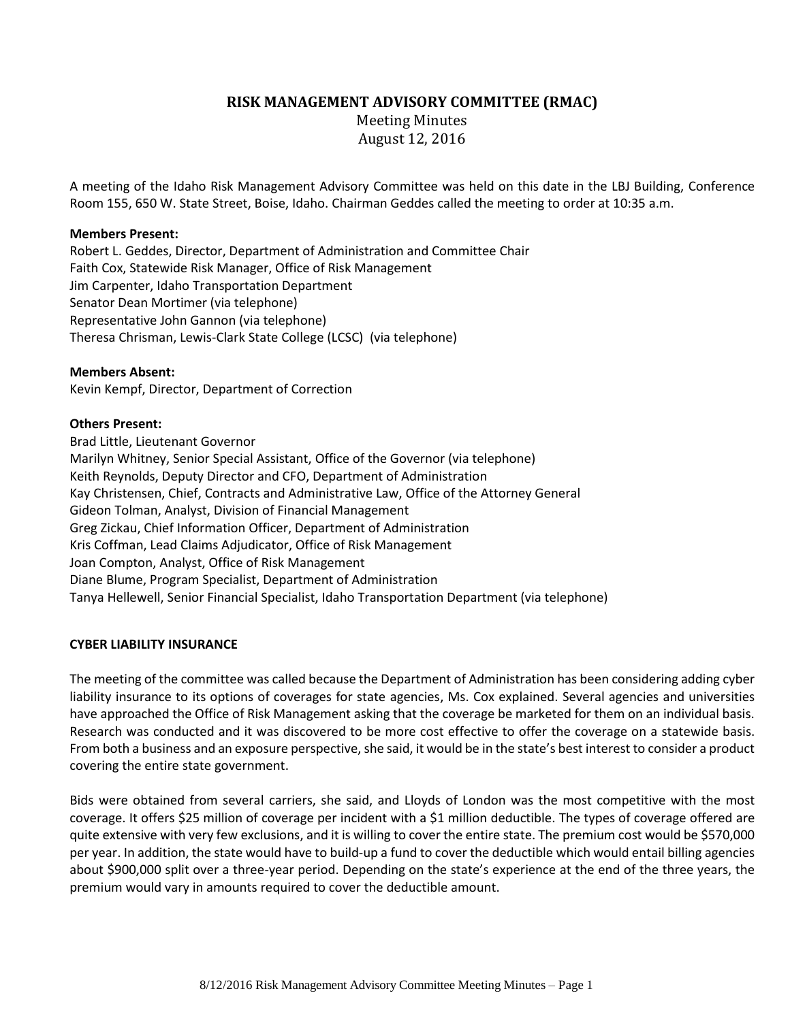# **RISK MANAGEMENT ADVISORY COMMITTEE (RMAC)**

Meeting Minutes August 12, 2016

A meeting of the Idaho Risk Management Advisory Committee was held on this date in the LBJ Building, Conference Room 155, 650 W. State Street, Boise, Idaho. Chairman Geddes called the meeting to order at 10:35 a.m.

# **Members Present:**

Robert L. Geddes, Director, Department of Administration and Committee Chair Faith Cox, Statewide Risk Manager, Office of Risk Management Jim Carpenter, Idaho Transportation Department Senator Dean Mortimer (via telephone) Representative John Gannon (via telephone) Theresa Chrisman, Lewis-Clark State College (LCSC) (via telephone)

#### **Members Absent:**

Kevin Kempf, Director, Department of Correction

## **Others Present:**

Brad Little, Lieutenant Governor Marilyn Whitney, Senior Special Assistant, Office of the Governor (via telephone) Keith Reynolds, Deputy Director and CFO, Department of Administration Kay Christensen, Chief, Contracts and Administrative Law, Office of the Attorney General Gideon Tolman, Analyst, Division of Financial Management Greg Zickau, Chief Information Officer, Department of Administration Kris Coffman, Lead Claims Adjudicator, Office of Risk Management Joan Compton, Analyst, Office of Risk Management Diane Blume, Program Specialist, Department of Administration Tanya Hellewell, Senior Financial Specialist, Idaho Transportation Department (via telephone)

## **CYBER LIABILITY INSURANCE**

The meeting of the committee was called because the Department of Administration has been considering adding cyber liability insurance to its options of coverages for state agencies, Ms. Cox explained. Several agencies and universities have approached the Office of Risk Management asking that the coverage be marketed for them on an individual basis. Research was conducted and it was discovered to be more cost effective to offer the coverage on a statewide basis. From both a business and an exposure perspective, she said, it would be in the state's best interest to consider a product covering the entire state government.

Bids were obtained from several carriers, she said, and Lloyds of London was the most competitive with the most coverage. It offers \$25 million of coverage per incident with a \$1 million deductible. The types of coverage offered are quite extensive with very few exclusions, and it is willing to cover the entire state. The premium cost would be \$570,000 per year. In addition, the state would have to build-up a fund to cover the deductible which would entail billing agencies about \$900,000 split over a three-year period. Depending on the state's experience at the end of the three years, the premium would vary in amounts required to cover the deductible amount.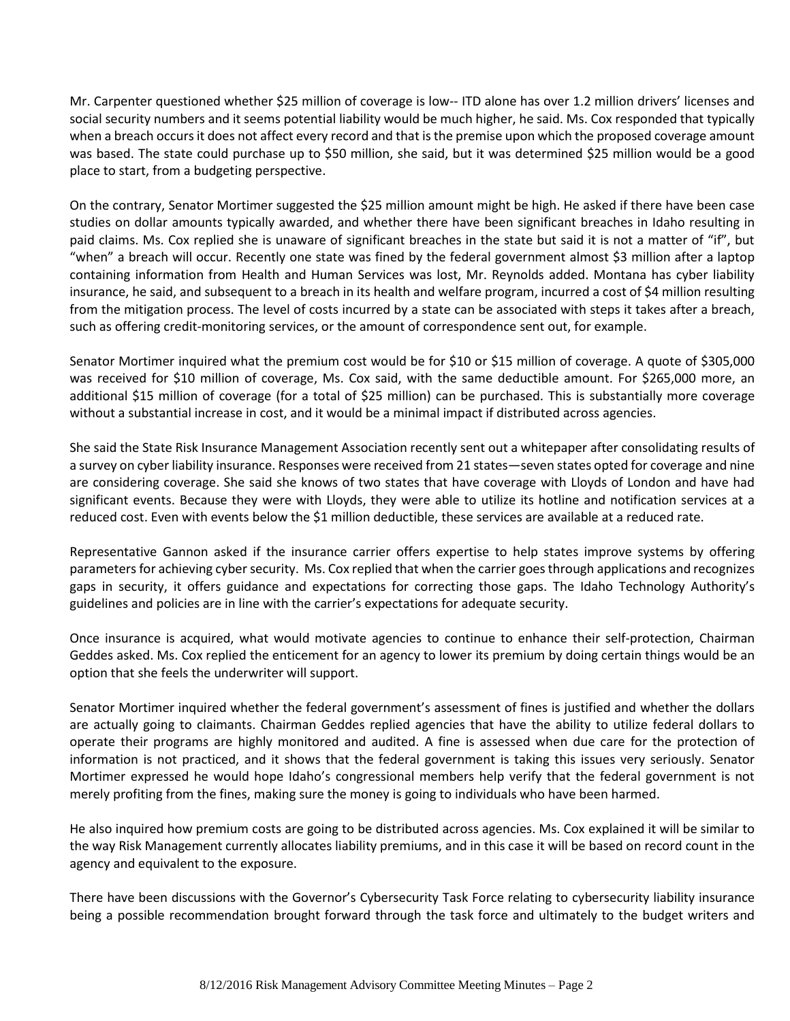Mr. Carpenter questioned whether \$25 million of coverage is low-- ITD alone has over 1.2 million drivers' licenses and social security numbers and it seems potential liability would be much higher, he said. Ms. Cox responded that typically when a breach occurs it does not affect every record and that is the premise upon which the proposed coverage amount was based. The state could purchase up to \$50 million, she said, but it was determined \$25 million would be a good place to start, from a budgeting perspective.

On the contrary, Senator Mortimer suggested the \$25 million amount might be high. He asked if there have been case studies on dollar amounts typically awarded, and whether there have been significant breaches in Idaho resulting in paid claims. Ms. Cox replied she is unaware of significant breaches in the state but said it is not a matter of "if", but "when" a breach will occur. Recently one state was fined by the federal government almost \$3 million after a laptop containing information from Health and Human Services was lost, Mr. Reynolds added. Montana has cyber liability insurance, he said, and subsequent to a breach in its health and welfare program, incurred a cost of \$4 million resulting from the mitigation process. The level of costs incurred by a state can be associated with steps it takes after a breach, such as offering credit-monitoring services, or the amount of correspondence sent out, for example.

Senator Mortimer inquired what the premium cost would be for \$10 or \$15 million of coverage. A quote of \$305,000 was received for \$10 million of coverage, Ms. Cox said, with the same deductible amount. For \$265,000 more, an additional \$15 million of coverage (for a total of \$25 million) can be purchased. This is substantially more coverage without a substantial increase in cost, and it would be a minimal impact if distributed across agencies.

She said the State Risk Insurance Management Association recently sent out a whitepaper after consolidating results of a survey on cyber liability insurance. Responses were received from 21 states—seven states opted for coverage and nine are considering coverage. She said she knows of two states that have coverage with Lloyds of London and have had significant events. Because they were with Lloyds, they were able to utilize its hotline and notification services at a reduced cost. Even with events below the \$1 million deductible, these services are available at a reduced rate.

Representative Gannon asked if the insurance carrier offers expertise to help states improve systems by offering parameters for achieving cyber security. Ms. Cox replied that when the carrier goes through applications and recognizes gaps in security, it offers guidance and expectations for correcting those gaps. The Idaho Technology Authority's guidelines and policies are in line with the carrier's expectations for adequate security.

Once insurance is acquired, what would motivate agencies to continue to enhance their self-protection, Chairman Geddes asked. Ms. Cox replied the enticement for an agency to lower its premium by doing certain things would be an option that she feels the underwriter will support.

Senator Mortimer inquired whether the federal government's assessment of fines is justified and whether the dollars are actually going to claimants. Chairman Geddes replied agencies that have the ability to utilize federal dollars to operate their programs are highly monitored and audited. A fine is assessed when due care for the protection of information is not practiced, and it shows that the federal government is taking this issues very seriously. Senator Mortimer expressed he would hope Idaho's congressional members help verify that the federal government is not merely profiting from the fines, making sure the money is going to individuals who have been harmed.

He also inquired how premium costs are going to be distributed across agencies. Ms. Cox explained it will be similar to the way Risk Management currently allocates liability premiums, and in this case it will be based on record count in the agency and equivalent to the exposure.

There have been discussions with the Governor's Cybersecurity Task Force relating to cybersecurity liability insurance being a possible recommendation brought forward through the task force and ultimately to the budget writers and